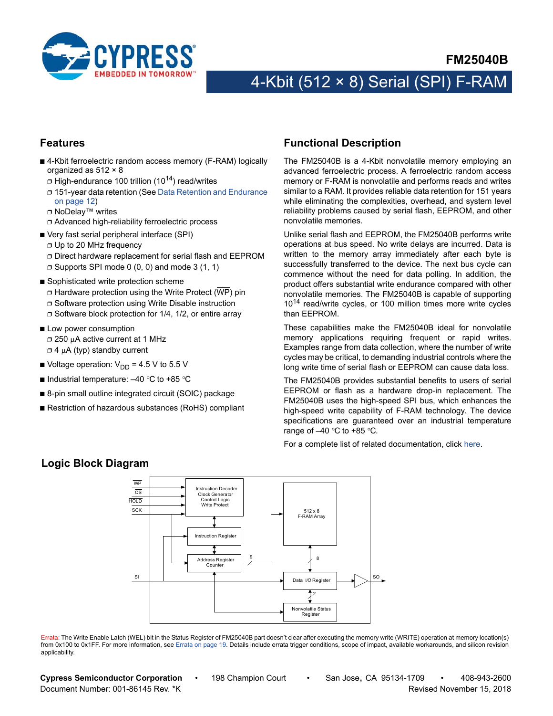

### **Features**

- 4-Kbit ferroelectric random access memory (F-RAM) logically organized as 512 × 8
	- $\Box$  High-endurance 100 trillion (10<sup>14</sup>) read/writes
	- ❐ 151-year data retention (See [Data Retention and Endurance](#page-11-0) [on page 12](#page-11-0))
	- ❐ NoDelay™ writes
	- ❐ Advanced high-reliability ferroelectric process
- Very fast serial peripheral interface (SPI)
	- ❐ Up to 20 MHz frequency
	- ❐ Direct hardware replacement for serial flash and EEPROM
	- $\Box$  Supports SPI mode 0 (0, 0) and mode 3 (1, 1)
- Sophisticated write protection scheme  $\Box$  Hardware protection using the Write Protect (WP) pin ❐ Software protection using Write Disable instruction ❐ Software block protection for 1/4, 1/2, or entire array
- Low power consumption □ 250 µA active current at 1 MHz  $\Box$  4  $\mu$ A (typ) standby current
- Voltage operation:  $V_{DD}$  = 4.5 V to 5.5 V
- Industrial temperature:  $-40$  °C to +85 °C
- 8-pin small outline integrated circuit (SOIC) package
- Restriction of hazardous substances (RoHS) compliant

### <span id="page-0-0"></span>**Functional Description**

The FM25040B is a 4-Kbit nonvolatile memory employing an advanced ferroelectric process. A ferroelectric random access memory or F-RAM is nonvolatile and performs reads and writes similar to a RAM. It provides reliable data retention for 151 years while eliminating the complexities, overhead, and system level reliability problems caused by serial flash, EEPROM, and other nonvolatile memories.

Unlike serial flash and EEPROM, the FM25040B performs write operations at bus speed. No write delays are incurred. Data is written to the memory array immediately after each byte is successfully transferred to the device. The next bus cycle can commence without the need for data polling. In addition, the product offers substantial write endurance compared with other nonvolatile memories. The FM25040B is capable of supporting 10<sup>14</sup> read/write cycles, or 100 million times more write cycles than EEPROM.

These capabilities make the FM25040B ideal for nonvolatile memory applications requiring frequent or rapid writes. Examples range from data collection, where the number of write cycles may be critical, to demanding industrial controls where the long write time of serial flash or EEPROM can cause data loss.

The FM25040B provides substantial benefits to users of serial EEPROM or flash as a hardware drop-in replacement. The FM25040B uses the high-speed SPI bus, which enhances the high-speed write capability of F-RAM technology. The device specifications are guaranteed over an industrial temperature range of  $-40$  °C to +85 °C.

For a complete list of related documentation, click [here](http://www.cypress.com/?rID=73496).



Errata: The Write Enable Latch (WEL) bit in the Status Register of FM25040B part doesn't clear after executing the memory write (WRITE) operation at memory location(s) from 0x100 to 0x1FF. For more information, see [Errata on page 19](#page-18-0). Details include errata trigger conditions, scope of impact, available workarounds, and silicon revision applicability.

**Cypress Semiconductor Corporation** • 198 Champion Court • San Jose, CA 95134-1709 • 408-943-2600 Document Number: 001-86145 Rev. \*K Revised November 15, 2018

### **Logic Block Diagram**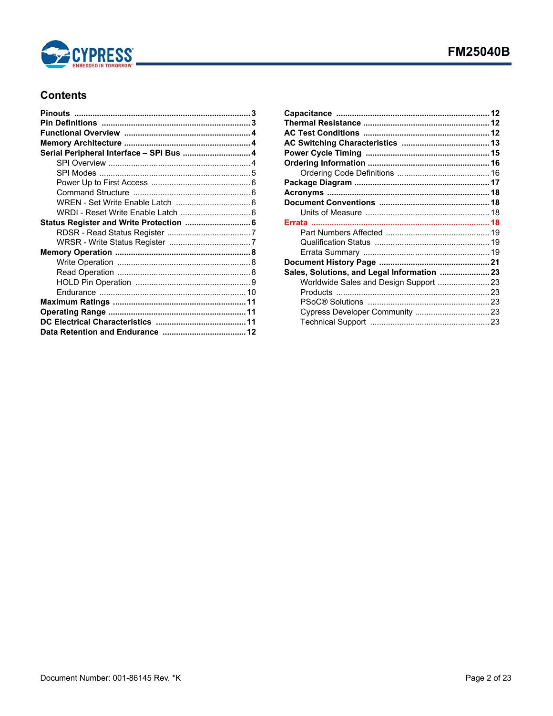

# **Contents**

| Serial Peripheral Interface - SPI Bus  4 |  |
|------------------------------------------|--|
|                                          |  |
|                                          |  |
|                                          |  |
|                                          |  |
|                                          |  |
| WRDI - Reset Write Enable Latch  6       |  |
| Status Register and Write Protection  6  |  |
|                                          |  |
|                                          |  |
|                                          |  |
|                                          |  |
|                                          |  |
|                                          |  |
|                                          |  |
|                                          |  |
|                                          |  |
|                                          |  |
|                                          |  |

| Sales, Solutions, and Legal Information  23 |  |
|---------------------------------------------|--|
|                                             |  |
|                                             |  |
|                                             |  |
|                                             |  |
|                                             |  |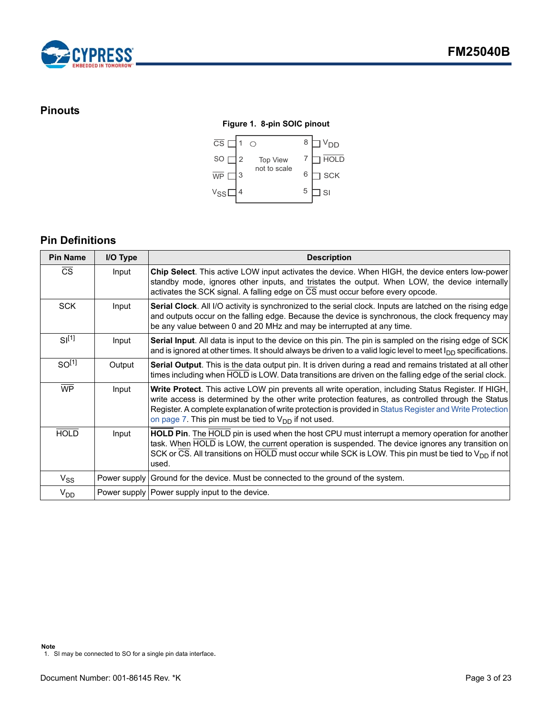

# <span id="page-2-0"></span>**Pinouts**

### **Figure 1. 8-pin SOIC pinout**



# <span id="page-2-1"></span>**Pin Definitions**

| <b>Pin Name</b>   | I/O Type | <b>Description</b>                                                                                                                                                                                                                                                                                                                                                                   |
|-------------------|----------|--------------------------------------------------------------------------------------------------------------------------------------------------------------------------------------------------------------------------------------------------------------------------------------------------------------------------------------------------------------------------------------|
| <b>CS</b>         | Input    | Chip Select. This active LOW input activates the device. When HIGH, the device enters low-power<br>standby mode, ignores other inputs, and tristates the output. When LOW, the device internally<br>activates the SCK signal. A falling edge on $\overline{CS}$ must occur before every opcode.                                                                                      |
| <b>SCK</b>        | Input    | Serial Clock. All I/O activity is synchronized to the serial clock. Inputs are latched on the rising edge<br>and outputs occur on the falling edge. Because the device is synchronous, the clock frequency may<br>be any value between 0 and 20 MHz and may be interrupted at any time.                                                                                              |
| $SI^{[1]}$        | Input    | <b>Serial Input.</b> All data is input to the device on this pin. The pin is sampled on the rising edge of SCK<br>and is ignored at other times. It should always be driven to a valid logic level to meet $I_{DD}$ specifications.                                                                                                                                                  |
| SO <sup>[1]</sup> | Output   | Serial Output. This is the data output pin. It is driven during a read and remains tristated at all other<br>times including when HOLD is LOW. Data transitions are driven on the falling edge of the serial clock.                                                                                                                                                                  |
| <b>WP</b>         | Input    | Write Protect. This active LOW pin prevents all write operation, including Status Register. If HIGH,<br>write access is determined by the other write protection features, as controlled through the Status<br>Register. A complete explanation of write protection is provided in Status Register and Write Protection<br>on page 7. This pin must be tied to $V_{DD}$ if not used. |
| <b>HOLD</b>       | Input    | HOLD Pin. The HOLD pin is used when the host CPU must interrupt a memory operation for another<br>task. When HOLD is LOW, the current operation is suspended. The device ignores any transition on<br>SCK or CS. All transitions on HOLD must occur while SCK is LOW. This pin must be tied to $V_{DD}$ if not<br>used.                                                              |
| $V_{SS}$          |          | Power supply Ground for the device. Must be connected to the ground of the system.                                                                                                                                                                                                                                                                                                   |
| $V_{DD}$          |          | Power supply Power supply input to the device.                                                                                                                                                                                                                                                                                                                                       |

<span id="page-2-2"></span><sup>1.</sup> SI may be connected to SO for a single pin data interface.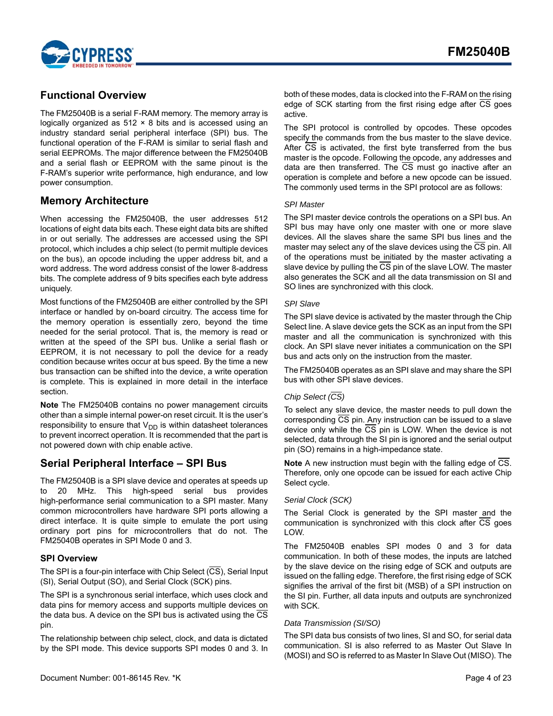

## <span id="page-3-0"></span>**Functional Overview**

The FM25040B is a serial F-RAM memory. The memory array is logically organized as 512 × 8 bits and is accessed using an industry standard serial peripheral interface (SPI) bus. The functional operation of the F-RAM is similar to serial flash and serial EEPROMs. The major difference between the FM25040B and a serial flash or EEPROM with the same pinout is the F-RAM's superior write performance, high endurance, and low power consumption.

# <span id="page-3-1"></span>**Memory Architecture**

When accessing the FM25040B, the user addresses 512 locations of eight data bits each. These eight data bits are shifted in or out serially. The addresses are accessed using the SPI protocol, which includes a chip select (to permit multiple devices on the bus), an opcode including the upper address bit, and a word address. The word address consist of the lower 8-address bits. The complete address of 9 bits specifies each byte address uniquely.

Most functions of the FM25040B are either controlled by the SPI interface or handled by on-board circuitry. The access time for the memory operation is essentially zero, beyond the time needed for the serial protocol. That is, the memory is read or written at the speed of the SPI bus. Unlike a serial flash or EEPROM, it is not necessary to poll the device for a ready condition because writes occur at bus speed. By the time a new bus transaction can be shifted into the device, a write operation is complete. This is explained in more detail in the interface section.

**Note** The FM25040B contains no power management circuits other than a simple internal power-on reset circuit. It is the user's responsibility to ensure that  $V_{DD}$  is within datasheet tolerances to prevent incorrect operation. It is recommended that the part is not powered down with chip enable active.

### <span id="page-3-2"></span>**Serial Peripheral Interface – SPI Bus**

The FM25040B is a SPI slave device and operates at speeds up to 20 MHz. This high-speed serial bus provides high-performance serial communication to a SPI master. Many common microcontrollers have hardware SPI ports allowing a direct interface. It is quite simple to emulate the port using ordinary port pins for microcontrollers that do not. The FM25040B operates in SPI Mode 0 and 3.

### <span id="page-3-3"></span>**SPI Overview**

The SPI is a four-pin interface with Chip Select  $(\overline{CS})$ , Serial Input (SI), Serial Output (SO), and Serial Clock (SCK) pins.

The SPI is a synchronous serial interface, which uses clock and data pins for memory access and supports multiple devices on the data bus. A device on the SPI bus is activated using the CS pin.

The relationship between chip select, clock, and data is dictated by the SPI mode. This device supports SPI modes 0 and 3. In The SPI protocol is controlled by opcodes. These opcodes specify the commands from the bus master to the slave device. After CS is activated, the first byte transferred from the bus master is the opcode. Following the opcode, any addresses and data are then transferred. The  $\overline{CS}$  must go inactive after an operation is complete and before a new opcode can be issued. The commonly used terms in the SPI protocol are as follows:

### *SPI Master*

The SPI master device controls the operations on a SPI bus. An SPI bus may have only one master with one or more slave devices. All the slaves share the same SPI bus lines and the master may select any of the slave devices using the CS pin. All of the operations must be initiated by the master activating a slave device by pulling the CS pin of the slave LOW. The master also generates the SCK and all the data transmission on SI and SO lines are synchronized with this clock.

### *SPI Slave*

The SPI slave device is activated by the master through the Chip Select line. A slave device gets the SCK as an input from the SPI master and all the communication is synchronized with this clock. An SPI slave never initiates a communication on the SPI bus and acts only on the instruction from the master.

The FM25040B operates as an SPI slave and may share the SPI bus with other SPI slave devices.

### *Chip Select (CS)*

To select any slave device, the master needs to pull down the corresponding  $\overline{CS}$  pin. Any instruction can be issued to a slave device only while the CS pin is LOW. When the device is not selected, data through the SI pin is ignored and the serial output pin (SO) remains in a high-impedance state.

**Note** A new instruction must begin with the falling edge of CS. Therefore, only one opcode can be issued for each active Chip Select cycle.

### *Serial Clock (SCK)*

The Serial Clock is generated by the SPI master and the communication is synchronized with this clock after  $\overline{CS}$  goes LOW.

The FM25040B enables SPI modes 0 and 3 for data communication. In both of these modes, the inputs are latched by the slave device on the rising edge of SCK and outputs are issued on the falling edge. Therefore, the first rising edge of SCK signifies the arrival of the first bit (MSB) of a SPI instruction on the SI pin. Further, all data inputs and outputs are synchronized with SCK.

### *Data Transmission (SI/SO)*

The SPI data bus consists of two lines, SI and SO, for serial data communication. SI is also referred to as Master Out Slave In (MOSI) and SO is referred to as Master In Slave Out (MISO). The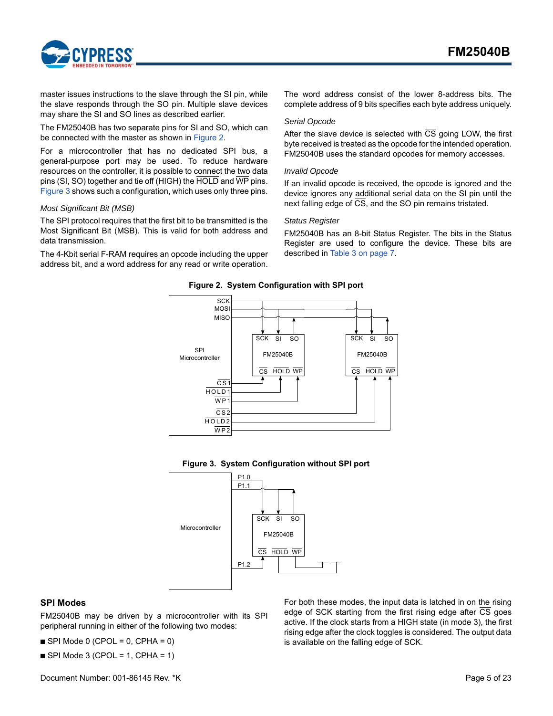

master issues instructions to the slave through the SI pin, while the slave responds through the SO pin. Multiple slave devices may share the SI and SO lines as described earlier.

The FM25040B has two separate pins for SI and SO, which can be connected with the master as shown in [Figure 2.](#page-4-1)

For a microcontroller that has no dedicated SPI bus, a general-purpose port may be used. To reduce hardware resources on the controller, it is possible to connect the two data pins (SI, SO) together and tie off (HIGH) the HOLD and WP pins. [Figure 3](#page-4-2) shows such a configuration, which uses only three pins.

#### *Most Significant Bit (MSB)*

The SPI protocol requires that the first bit to be transmitted is the Most Significant Bit (MSB). This is valid for both address and data transmission.

<span id="page-4-1"></span>The 4-Kbit serial F-RAM requires an opcode including the upper address bit, and a word address for any read or write operation. The word address consist of the lower 8-address bits. The complete address of 9 bits specifies each byte address uniquely.

#### *Serial Opcode*

After the slave device is selected with  $\overline{CS}$  going LOW, the first byte received is treated as the opcode for the intended operation. FM25040B uses the standard opcodes for memory accesses.

#### *Invalid Opcode*

If an invalid opcode is received, the opcode is ignored and the device ignores any additional serial data on the SI pin until the next falling edge of CS, and the SO pin remains tristated.

#### *Status Register*

FM25040B has an 8-bit Status Register. The bits in the Status Register are used to configure the device. These bits are described in [Table 3 on page 7.](#page-6-3)

#### **Figure 2. System Configuration with SPI port**





<span id="page-4-2"></span>

### <span id="page-4-0"></span>**SPI Modes**

FM25040B may be driven by a microcontroller with its SPI peripheral running in either of the following two modes:

 $\blacksquare$  SPI Mode 0 (CPOL = 0, CPHA = 0)

 $\blacksquare$  SPI Mode 3 (CPOL = 1, CPHA = 1)

For both these modes, the input data is latched in on the rising edge of SCK starting from the first rising edge after CS goes active. If the clock starts from a HIGH state (in mode 3), the first rising edge after the clock toggles is considered. The output data is available on the falling edge of SCK.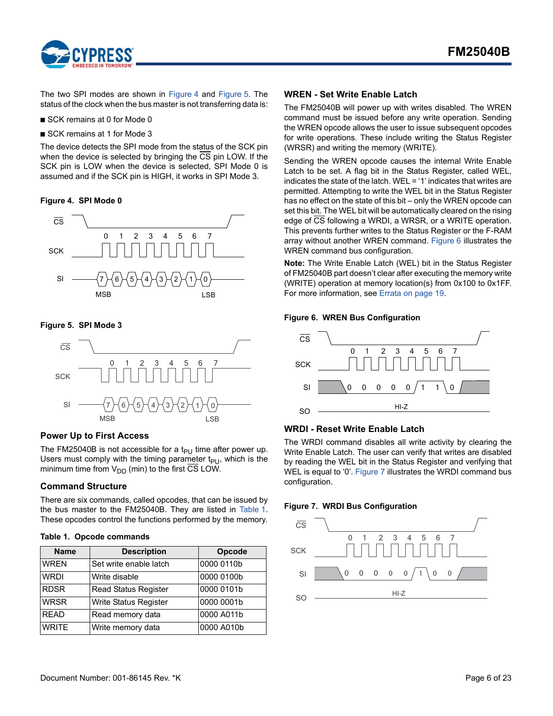

The two SPI modes are shown in [Figure 4](#page-5-4) and [Figure 5](#page-5-5). The status of the clock when the bus master is not transferring data is:

- SCK remains at 0 for Mode 0
- SCK remains at 1 for Mode 3

The device detects the SPI mode from the status of the SCK pin when the device is selected by bringing the  $\overline{CS}$  pin LOW. If the SCK pin is LOW when the device is selected, SPI Mode 0 is assumed and if the SCK pin is HIGH, it works in SPI Mode 3.

<span id="page-5-4"></span>**Figure 4. SPI Mode 0**



<span id="page-5-5"></span>**Figure 5. SPI Mode 3**



### <span id="page-5-0"></span>**Power Up to First Access**

The FM25040B is not accessible for a t<sub>PU</sub> time after power up. Users must comply with the timing parameter  $t_{PI}$ , which is the minimum time from  $V_{DD}$  (min) to the first CS LOW.

### <span id="page-5-1"></span>**Command Structure**

There are six commands, called opcodes, that can be issued by the bus master to the FM25040B. They are listed in Table 1. These opcodes control the functions performed by the memory.

### **Table 1. Opcode commands**

| <b>Name</b>  | <b>Description</b>          | Opcode     |
|--------------|-----------------------------|------------|
| <b>WREN</b>  | Set write enable latch      | 0000 0110b |
| <b>WRDI</b>  | Write disable               | 0000 0100b |
| <b>RDSR</b>  | <b>Read Status Register</b> | 0000 0101b |
| <b>WRSR</b>  | Write Status Register       | 0000 0001b |
| <b>READ</b>  | Read memory data            | 0000 A011b |
| <b>WRITE</b> | Write memory data           | 0000 A010b |

### <span id="page-5-2"></span>**WREN - Set Write Enable Latch**

The FM25040B will power up with writes disabled. The WREN command must be issued before any write operation. Sending the WREN opcode allows the user to issue subsequent opcodes for write operations. These include writing the Status Register (WRSR) and writing the memory (WRITE).

Sending the WREN opcode causes the internal Write Enable Latch to be set. A flag bit in the Status Register, called WEL, indicates the state of the latch. WEL = '1' indicates that writes are permitted. Attempting to write the WEL bit in the Status Register has no effect on the state of this bit – only the WREN opcode can set this bit. The WEL bit will be automatically cleared on the rising edge of CS following a WRDI, a WRSR, or a WRITE operation. This prevents further writes to the Status Register or the F-RAM array without another WREN command. [Figure 6](#page-5-6) illustrates the WREN command bus configuration.

**Note:** The Write Enable Latch (WEL) bit in the Status Register of FM25040B part doesn't clear after executing the memory write (WRITE) operation at memory location(s) from 0x100 to 0x1FF. For more information, see [Errata on page 19.](#page-18-0)

### <span id="page-5-6"></span>**Figure 6. WREN Bus Configuration**



### <span id="page-5-3"></span>**WRDI - Reset Write Enable Latch**

The WRDI command disables all write activity by clearing the Write Enable Latch. The user can verify that writes are disabled by reading the WEL bit in the Status Register and verifying that WEL is equal to '0'. [Figure 7](#page-5-7) illustrates the WRDI command bus configuration.

### <span id="page-5-7"></span>**Figure 7. WRDI Bus Configuration**

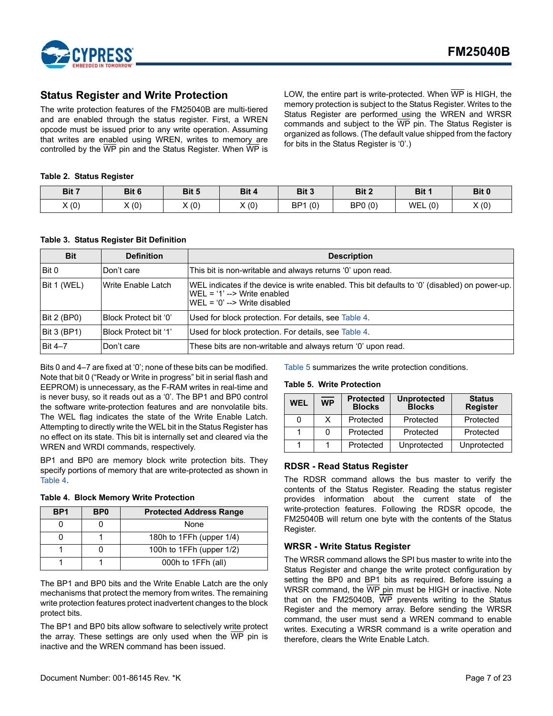

### <span id="page-6-0"></span>**Status Register and Write Protection**

The write protection features of the FM25040B are multi-tiered and are enabled through the status register. First, a WREN opcode must be issued prior to any write operation. Assuming that writes are enabled using WREN, writes to memory are controlled by the  $\overline{\text{WP}}$  pin and the Status Register. When  $\overline{\text{WP}}$  is LOW, the entire part is write-protected. When WP is HIGH, the memory protection is subject to the Status Register. Writes to the Status Register are performed using the WREN and WRSR commands and subject to the WP pin. The Status Register is organized as follows. (The default value shipped from the factory for bits in the Status Register is '0'.)

### **Table 2. Status Register**

| Bit 7 | Bit 6 | Bit 5 | Bit 4 | Bit 3                  | Bit 2   | Bit 1      | Bit 0 |
|-------|-------|-------|-------|------------------------|---------|------------|-------|
| X(0)  | X(0)  | X(0)  | X(0)  | (0)<br>BP <sub>1</sub> | BP0 (0) | (0)<br>WEL | X(0)  |

#### <span id="page-6-3"></span>**Table 3. Status Register Bit Definition**

| <b>Bit</b>   | <b>Definition</b>     | <b>Description</b>                                                                                                                                                       |  |
|--------------|-----------------------|--------------------------------------------------------------------------------------------------------------------------------------------------------------------------|--|
| <b>Bit 0</b> | Don't care            | This bit is non-writable and always returns '0' upon read.                                                                                                               |  |
| Bit 1 (WEL)  | Write Enable Latch    | WEL indicates if the device is write enabled. This bit defaults to '0' (disabled) on power-up.<br>$WEL = '1' --$ Write enabled<br>$WEL = '0' \rightarrow Write$ disabled |  |
| Bit 2 (BPO)  | Block Protect bit '0' | Used for block protection. For details, see Table 4.                                                                                                                     |  |
| Bit 3 (BP1)  | Block Protect bit '1' | Used for block protection. For details, see Table 4.                                                                                                                     |  |
| Bit 4–7      | Don't care            | These bits are non-writable and always return '0' upon read.                                                                                                             |  |

Bits 0 and 4–7 are fixed at '0'; none of these bits can be modified. Note that bit 0 ("Ready or Write in progress" bit in serial flash and EEPROM) is unnecessary, as the F-RAM writes in real-time and is never busy, so it reads out as a '0'. The BP1 and BP0 control the software write-protection features and are nonvolatile bits. The WEL flag indicates the state of the Write Enable Latch. Attempting to directly write the WEL bit in the Status Register has no effect on its state. This bit is internally set and cleared via the WREN and WRDI commands, respectively.

BP1 and BP0 are memory block write protection bits. They specify portions of memory that are write-protected as shown in Table 4.

<span id="page-6-4"></span>

| BP <sub>1</sub> | B <sub>P0</sub> | <b>Protected Address Range</b> |  |
|-----------------|-----------------|--------------------------------|--|
|                 |                 | None                           |  |
|                 |                 | 180h to 1FFh (upper 1/4)       |  |
|                 |                 | 100h to 1FFh (upper 1/2)       |  |
|                 |                 | 000h to 1FFh (all)             |  |

The BP1 and BP0 bits and the Write Enable Latch are the only mechanisms that protect the memory from writes. The remaining write protection features protect inadvertent changes to the block protect bits.

The BP1 and BP0 bits allow software to selectively write protect the array. These settings are only used when the  $\overline{WP}$  pin is inactive and the WREN command has been issued.

[Table 5](#page-6-5) summarizes the write protection conditions.

#### <span id="page-6-5"></span>**Table 5. Write Protection**

| WEL | <b>WP</b> | <b>Protected</b><br><b>Blocks</b> | <b>Unprotected</b><br><b>Blocks</b> | <b>Status</b><br><b>Register</b> |
|-----|-----------|-----------------------------------|-------------------------------------|----------------------------------|
| 0   | x         | Protected                         | Protected                           | Protected                        |
|     |           | Protected                         | Protected                           | Protected                        |
|     |           | Protected                         | Unprotected                         | Unprotected                      |

### <span id="page-6-1"></span>**RDSR - Read Status Register**

The RDSR command allows the bus master to verify the contents of the Status Register. Reading the status register provides information about the current state of the write-protection features. Following the RDSR opcode, the FM25040B will return one byte with the contents of the Status Register.

### <span id="page-6-2"></span>**WRSR - Write Status Register**

The WRSR command allows the SPI bus master to write into the Status Register and change the write protect configuration by setting the BP0 and BP1 bits as required. Before issuing a WRSR command, the WP pin must be HIGH or inactive. Note that on the FM25040B, WP prevents writing to the Status Register and the memory array. Before sending the WRSR command, the user must send a WREN command to enable writes. Executing a WRSR command is a write operation and therefore, clears the Write Enable Latch.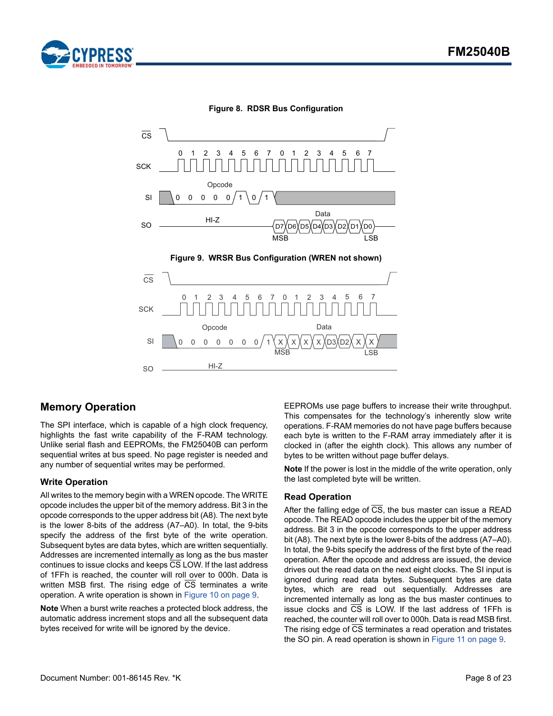





#### **Figure 8. RDSR Bus Configuration**

### <span id="page-7-0"></span>**Memory Operation**

The SPI interface, which is capable of a high clock frequency, highlights the fast write capability of the F-RAM technology. Unlike serial flash and EEPROMs, the FM25040B can perform sequential writes at bus speed. No page register is needed and any number of sequential writes may be performed.

### <span id="page-7-1"></span>**Write Operation**

All writes to the memory begin with a WREN opcode. The WRITE opcode includes the upper bit of the memory address. Bit 3 in the opcode corresponds to the upper address bit (A8). The next byte is the lower 8-bits of the address (A7–A0). In total, the 9-bits specify the address of the first byte of the write operation. Subsequent bytes are data bytes, which are written sequentially. Addresses are incremented internally as long as the bus master continues to issue clocks and keeps CS LOW. If the last address of 1FFh is reached, the counter will roll over to 000h. Data is written MSB first. The rising edge of CS terminates a write operation. A write operation is shown in [Figure 10 on page 9](#page-8-2).

**Note** When a burst write reaches a protected block address, the automatic address increment stops and all the subsequent data bytes received for write will be ignored by the device.

EEPROMs use page buffers to increase their write throughput. This compensates for the technology's inherently slow write operations. F-RAM memories do not have page buffers because each byte is written to the F-RAM array immediately after it is clocked in (after the eighth clock). This allows any number of bytes to be written without page buffer delays.

**Note** If the power is lost in the middle of the write operation, only the last completed byte will be written.

### <span id="page-7-2"></span>**Read Operation**

After the falling edge of  $\overline{CS}$ , the bus master can issue a READ opcode. The READ opcode includes the upper bit of the memory address. Bit 3 in the opcode corresponds to the upper address bit (A8). The next byte is the lower 8-bits of the address (A7–A0). In total, the 9-bits specify the address of the first byte of the read operation. After the opcode and address are issued, the device drives out the read data on the next eight clocks. The SI input is ignored during read data bytes. Subsequent bytes are data bytes, which are read out sequentially. Addresses are incremented internally as long as the bus master continues to issue clocks and CS is LOW. If the last address of 1FFh is reached, the counter will roll over to 000h. Data is read MSB first. The rising edge of  $\overline{CS}$  terminates a read operation and tristates the SO pin. A read operation is shown in [Figure 11 on page 9.](#page-8-1)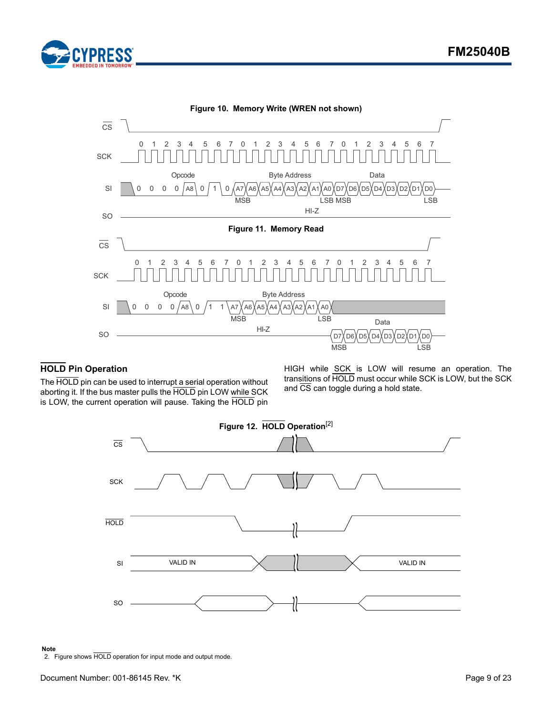

<span id="page-8-2"></span><span id="page-8-1"></span>

### <span id="page-8-0"></span>**HOLD Pin Operation**

The HOLD pin can be used to interrupt a serial operation without aborting it. If the bus master pulls the HOLD pin LOW while SCK is LOW, the current operation will pause. Taking the HOLD pin

HIGH while SCK is LOW will resume an operation. The transitions of HOLD must occur while SCK is LOW, but the SCK and  $\overline{\text{CS}}$  can toggle during a hold state.



#### **Note**

<span id="page-8-3"></span>2. Figure shows HOLD operation for input mode and output mode.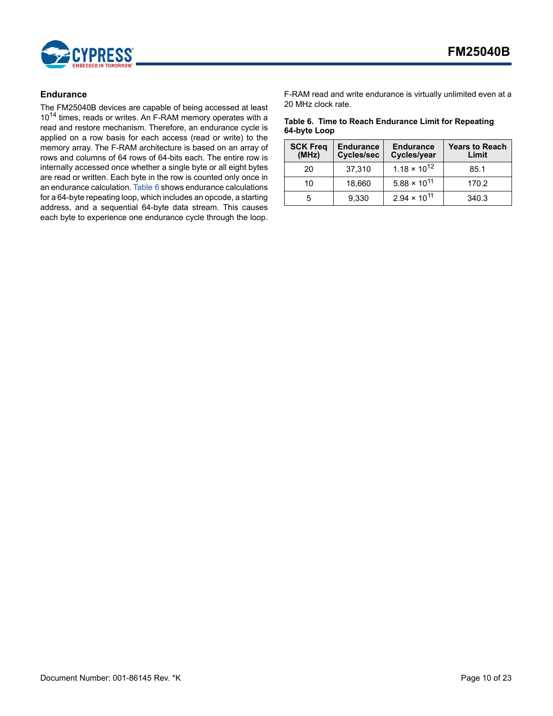

### <span id="page-9-0"></span>**Endurance**

The FM25040B devices are capable of being accessed at least 10<sup>14</sup> times, reads or writes. An F-RAM memory operates with a read and restore mechanism. Therefore, an endurance cycle is applied on a row basis for each access (read or write) to the memory array. The F-RAM architecture is based on an array of rows and columns of 64 rows of 64-bits each. The entire row is internally accessed once whether a single byte or all eight bytes are read or written. Each byte in the row is counted only once in an endurance calculation. [Table 6](#page-9-1) shows endurance calculations for a 64-byte repeating loop, which includes an opcode, a starting address, and a sequential 64-byte data stream. This causes each byte to experience one endurance cycle through the loop.

F-RAM read and write endurance is virtually unlimited even at a 20 MHz clock rate.

### <span id="page-9-1"></span>**Table 6. Time to Reach Endurance Limit for Repeating 64-byte Loop**

| <b>SCK Freq</b><br>(MHz) | <b>Endurance</b><br><b>Cycles/sec</b> | <b>Endurance</b><br>Cycles/year | <b>Years to Reach</b><br>Limit |
|--------------------------|---------------------------------------|---------------------------------|--------------------------------|
| 20                       | 37,310                                | $1.18 \times 10^{12}$           | 85.1                           |
| 10                       | 18,660                                | $5.88 \times 10^{11}$           | 170.2                          |
| 5                        | 9,330                                 | $2.94 \times 10^{11}$           | 340.3                          |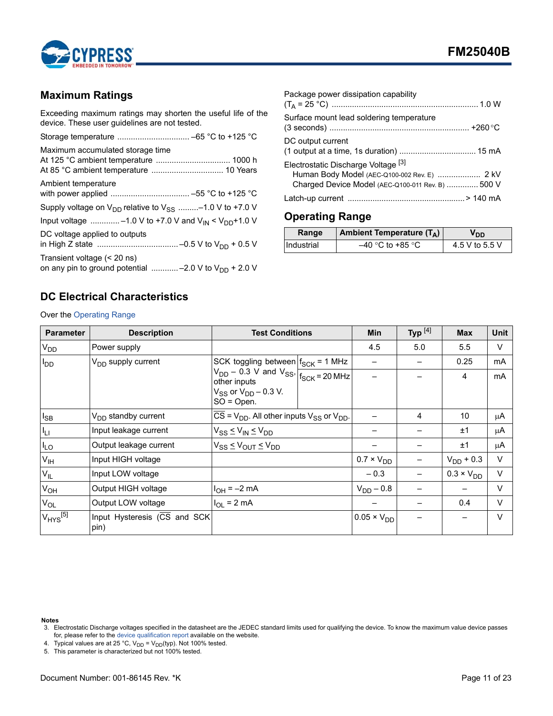

### <span id="page-10-0"></span>**Maximum Ratings**

Exceeding maximum ratings may shorten the useful life of the device. These user guidelines are not tested.

| Maximum accumulated storage time                                                          |
|-------------------------------------------------------------------------------------------|
| Ambient temperature                                                                       |
| Supply voltage on $V_{DD}$ relative to $V_{SS}$ -1.0 V to +7.0 V                          |
| Input voltage -1.0 V to +7.0 V and $V_{IN}$ < $V_{DD}$ +1.0 V                             |
| DC voltage applied to outputs                                                             |
| Transient voltage (< 20 ns)<br>on any pin to ground potential  -2.0 V to $V_{DD}$ + 2.0 V |

| Package power dissipation capability                                                                                                     |
|------------------------------------------------------------------------------------------------------------------------------------------|
| Surface mount lead soldering temperature                                                                                                 |
| DC output current                                                                                                                        |
| Electrostatic Discharge Voltage [3]<br>Human Body Model (AEC-Q100-002 Rev. E)  2 kV<br>Charged Device Model (AEC-Q100-011 Rev. B)  500 V |
|                                                                                                                                          |

# <span id="page-10-1"></span>**Operating Range**

| Range             | Ambient Temperature $(T_A)$ | חח             |
|-------------------|-----------------------------|----------------|
| <b>Industrial</b> | $-40$ °C to +85 °C          | 4.5 V to 5.5 V |

# <span id="page-10-2"></span>**DC Electrical Characteristics**

Over the [Operating Range](#page-10-1)

| <b>Parameter</b> | <b>Description</b>                                | <b>Test Conditions</b>                                                                    |  | <b>Min</b>           | Typ $^{[4]}$ | <b>Max</b>          | <b>Unit</b> |
|------------------|---------------------------------------------------|-------------------------------------------------------------------------------------------|--|----------------------|--------------|---------------------|-------------|
| V <sub>DD</sub>  | Power supply                                      |                                                                                           |  | 4.5                  | 5.0          | 5.5                 | $\vee$      |
| $I_{DD}$         | V <sub>DD</sub> supply current                    | SCK toggling between $f_{SCK}$ = 1 MHz                                                    |  |                      |              | 0.25                | mA          |
|                  |                                                   | $\frac{1}{1}V_{DD} - 0.3$ V and $V_{SS}$ , $\frac{1}{f_{SCK} = 20}$ MHz<br>other inputs   |  |                      |              | 4                   | mA          |
|                  |                                                   | $V_{SS}$ or $V_{DD}$ – 0.3 V.<br>$SO = Open$ .                                            |  |                      |              |                     |             |
| $I_{SB}$         | V <sub>DD</sub> standby current                   | $\overline{CS}$ = V <sub>DD</sub> . All other inputs V <sub>SS</sub> or V <sub>DD</sub> . |  |                      | 4            | 10                  | μA          |
| Īц               | Input leakage current                             | $V_{SS} \leq V_{IN} \leq V_{DD}$                                                          |  |                      |              | ±1                  | μA          |
| $I_{LO}$         | Output leakage current                            | $V_{SS} \leq V_{OUT} \leq V_{DD}$                                                         |  |                      |              | ±1                  | μA          |
| $V_{IH}$         | Input HIGH voltage                                |                                                                                           |  | $0.7 \times V_{DD}$  |              | $V_{DD}$ + 0.3      | $\vee$      |
| $V_{IL}$         | Input LOW voltage                                 |                                                                                           |  | $-0.3$               |              | $0.3 \times V_{DD}$ | $\vee$      |
| V <sub>OH</sub>  | Output HIGH voltage                               | $1_{OH} = -2$ mA                                                                          |  | $V_{DD} - 0.8$       |              |                     | $\vee$      |
| $V_{OL}$         | Output LOW voltage                                | $I_{OL}$ = 2 mA                                                                           |  |                      |              | 0.4                 | $\vee$      |
| $V_{HYS}$ [5]    | Input Hysteresis $(\overline{CS}$ and SCK<br>pin) |                                                                                           |  | $0.05 \times V_{DD}$ |              |                     | $\vee$      |

**Notes**

<span id="page-10-3"></span>4. Typical values are at 25 °C,  $V_{DD} = V_{DD}(typ)$ . Not 100% tested.

<span id="page-10-4"></span>5. This parameter is characterized but not 100% tested.

<span id="page-10-5"></span><sup>.&</sup>lt;br>3. Electrostatic Discharge voltages specified in the datasheet are the JEDEC standard limits used for qualifying the device. To know the maximum value device passes for, please refer to the [device qualification report](http://www.cypress.com/documentation/qualification-reports/qtp-130104-aec-q100-grade-3-qual-report-b-w-serial-f-ram-family) available on the website.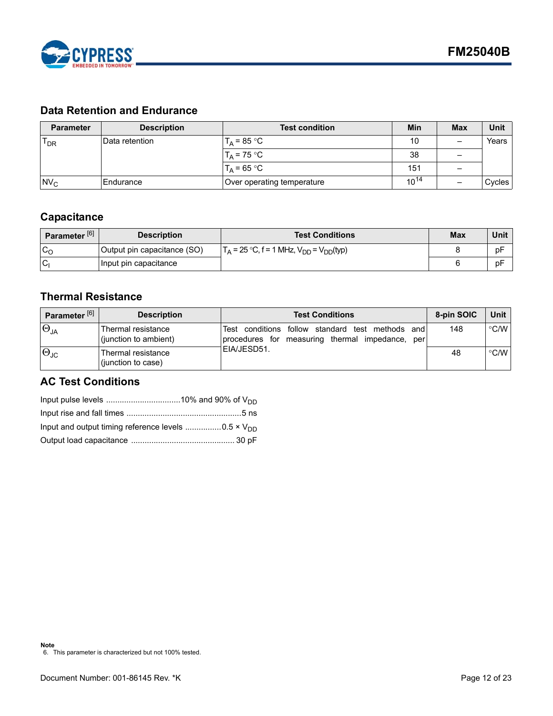

# <span id="page-11-0"></span>**Data Retention and Endurance**

| <b>Parameter</b> | <b>Description</b> | <b>Test condition</b>      | Min       | <b>Max</b> | Unit   |
|------------------|--------------------|----------------------------|-----------|------------|--------|
| $T_{DR}$         | IData retention    | $T_A = 85 °C$              | 10        |            | Years  |
|                  |                    | $T_A = 75 °C$              | 38        |            |        |
|                  |                    | $T_A = 65 °C$              | 151       |            |        |
| $Nv_c$           | Endurance          | Over operating temperature | $10^{14}$ |            | Cycles |

# <span id="page-11-1"></span>**Capacitance**

| Parameter <sup>[6]</sup> | <b>Description</b>          | <b>Test Conditions</b>                                                 | <b>Max</b> | Unit |
|--------------------------|-----------------------------|------------------------------------------------------------------------|------------|------|
| $\sim$<br>◡◠             | Output pin capacitance (SO) | $\Gamma_{\rm A}$ = 25 °C, f = 1 MHz, $V_{\rm DD}$ = $V_{\rm DD}$ (typ) |            | pF   |
| 'Cı                      | Input pin capacitance       |                                                                        |            | pF   |

# <span id="page-11-2"></span>**Thermal Resistance**

| Parameter <sup>[6]</sup> | <b>Description</b>                          | <b>Test Conditions</b>                                                                                    | 8-pin SOIC | Unit          |
|--------------------------|---------------------------------------------|-----------------------------------------------------------------------------------------------------------|------------|---------------|
| $\Theta_{JA}$            | Thermal resistance<br>(junction to ambient) | Test conditions follow standard test<br>methods<br>and<br>procedures for measuring thermal impedance, per | 148        | °C/W          |
| $\Theta_{\text{JC}}$     | Thermal resistance<br>(junction to case)    | IEIA/JESD51.                                                                                              | 48         | $\degree$ C/W |

# <span id="page-11-3"></span>**AC Test Conditions**

<span id="page-11-4"></span>

| Input and output timing reference levels 0.5 $\times$ V <sub>DD</sub> |  |
|-----------------------------------------------------------------------|--|
|                                                                       |  |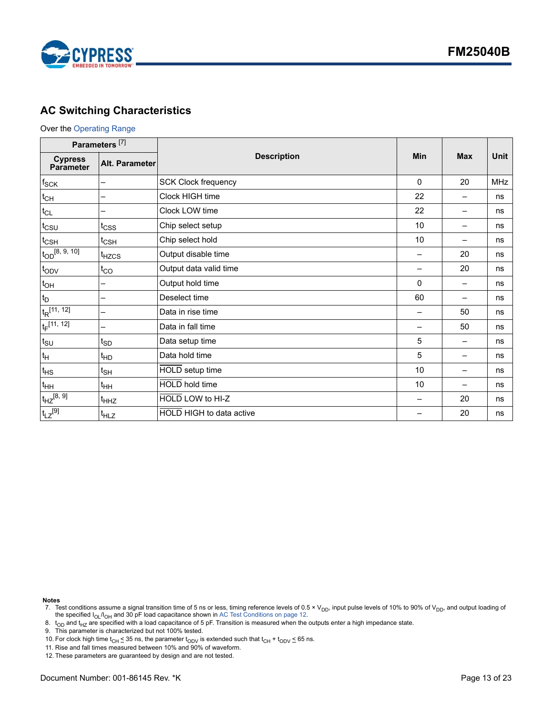

# <span id="page-12-0"></span>**AC Switching Characteristics**

### Over the [Operating Range](#page-10-1)

| Parameters <sup>[7]</sup>   |                       |                            |              |                          |             |
|-----------------------------|-----------------------|----------------------------|--------------|--------------------------|-------------|
| <b>Cypress</b><br>Parameter | <b>Alt. Parameter</b> | <b>Description</b>         | Min          | <b>Max</b>               | <b>Unit</b> |
| $f_{\rm SCK}$               |                       | <b>SCK Clock frequency</b> | $\mathbf{0}$ | 20                       | <b>MHz</b>  |
| $t_{CH}$                    |                       | Clock HIGH time            | 22           |                          | ns          |
| $t_{CL}$                    |                       | Clock LOW time             | 22           | —                        | ns          |
| $t_{\text{CSU}}$            | t <sub>CSS</sub>      | Chip select setup          | 10           | $\overline{\phantom{0}}$ | ns          |
| $t_{\text{CSH}}$            | $t_{\text{CSH}}$      | Chip select hold           | 10           | —                        | ns          |
| $t_{OD}$ $(8, 9, 10]$       | t <sub>HZCS</sub>     | Output disable time        |              | 20                       | ns          |
| t <sub>ODV</sub>            | $t_{CO}$              | Output data valid time     |              | 20                       | ns          |
| $t_{OH}$                    |                       | Output hold time           | 0            | —                        | ns          |
| $t_D$                       |                       | Deselect time              | 60           | —                        | ns          |
| $t_R$ [11, 12]              |                       | Data in rise time          |              | 50                       | ns          |
| $t_F$ [11, 12]              |                       | Data in fall time          |              | 50                       | ns          |
| $t_{\scriptstyle\text{SU}}$ | $t_{SD}$              | Data setup time            | 5            |                          | ns          |
| $t_{\mathsf{H}}$            | <sup>t</sup> HD       | Data hold time             | 5            | —                        | ns          |
| $t_{HS}$                    | $t_{\sf SH}$          | HOLD setup time            | 10           | —                        | ns          |
| $t_{HH}$                    | $t_{HH}$              | HOLD hold time             | 10           | $\overline{\phantom{0}}$ | ns          |
| $t_{HZ}^{[8, 9]}$           | t <sub>HHZ</sub>      | HOLD LOW to HI-Z           |              | 20                       | ns          |
| $t_{LZ}^{[9]}$              | $t_{HLZ}$             | HOLD HIGH to data active   |              | 20                       | ns          |

**Notes**

<span id="page-12-2"></span>8.  $t_{OD}$  and  $t_{HZ}$  are specified with a load capacitance of 5 pF. Transition is measured when the outputs enter a high impedance state.

<span id="page-12-3"></span>9. This parameter is characterized but not 100% tested.

<span id="page-12-6"></span>10. For clock high time  $t_{CH} \leq 35$  ns, the parameter  $t_{ODV}$  is extended such that  $t_{CH} + t_{ODV} \leq 65$  ns.

<span id="page-12-4"></span>11. Rise and fall times measured between 10% and 90% of waveform.

<span id="page-12-5"></span>12. These parameters are guaranteed by design and are not tested.

<span id="page-12-1"></span><sup>7.</sup> Test conditions assume a signal transition time of 5 ns or less, timing reference levels of 0.5 × V<sub>DD</sub>, input pulse levels of 10% to 90% of V<sub>DD</sub>, and output loading of the specified I<sub>OL</sub>/I<sub>OH</sub> and 30 pF load capacit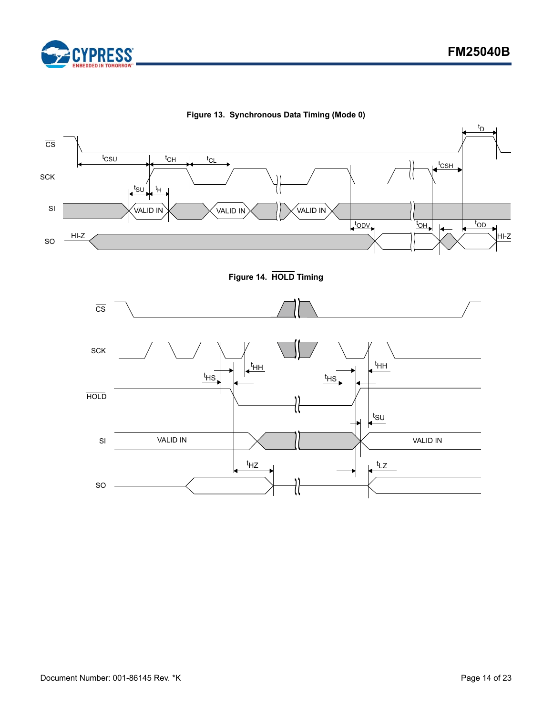



**Figure 13. Synchronous Data Timing (Mode 0)**

**Figure 14. HOLD Timing**

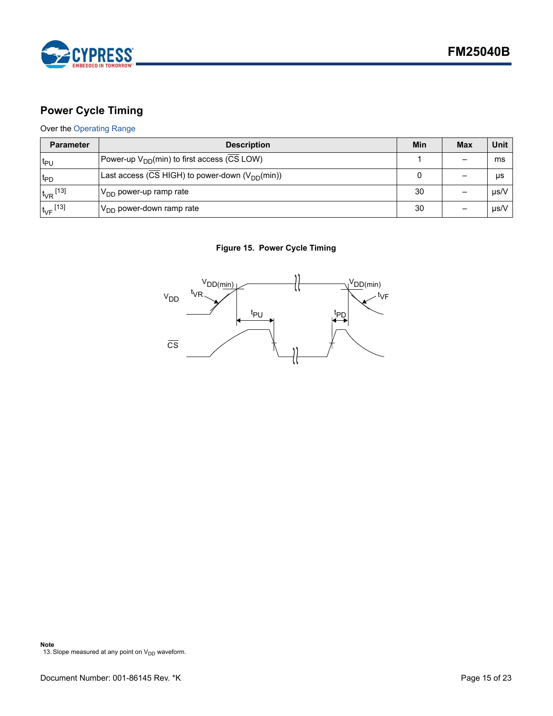

# <span id="page-14-0"></span>**Power Cycle Timing**

### Over the [Operating Range](#page-10-1)

| <b>Parameter</b>         | <b>Description</b>                                  | Min | <b>Max</b> | Unit      |
|--------------------------|-----------------------------------------------------|-----|------------|-----------|
| ≀եր                      | Power-up $V_{DD}(min)$ to first access (CS LOW)     |     |            | ms        |
| t <sub>PD</sub>          | Last access (CS HIGH) to power-down $(V_{DD}(min))$ |     |            | μs        |
| $t_{VR}$ <sup>[13]</sup> | $ V_{DD}$ power-up ramp rate                        |     |            | $\mu$ s/V |
| $t_{VF}$ [13]            | $V_{DD}$ power-down ramp rate                       | 30  |            | $\mu$ s/V |

### **Figure 15. Power Cycle Timing**

<span id="page-14-1"></span>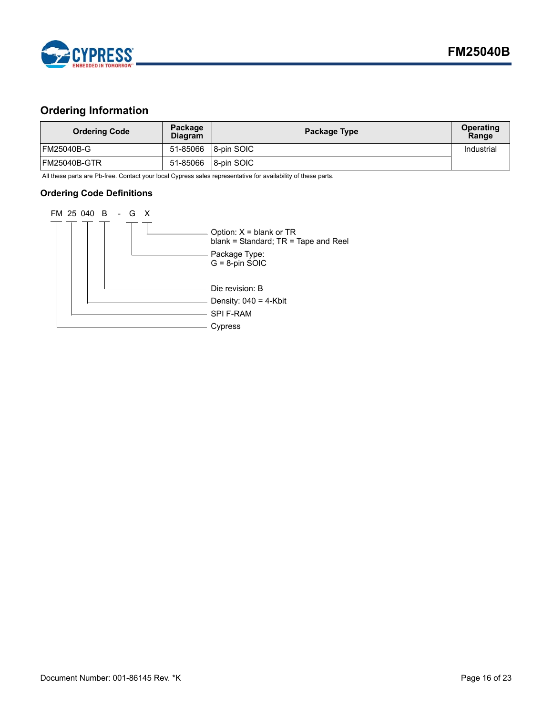

# <span id="page-15-0"></span>**Ordering Information**

| <b>Ordering Code</b> | Package<br><b>Diagram</b> | Package Type | <b>Operating</b><br>Range |
|----------------------|---------------------------|--------------|---------------------------|
| FM25040B-G           | 51-85066                  | 8-pin SOIC   | Industrial                |
| FM25040B-GTR         | 51-85066                  | 8-pin SOIC   |                           |

All these parts are Pb-free. Contact your local Cypress sales representative for availability of these parts.

### <span id="page-15-1"></span>**Ordering Code Definitions**

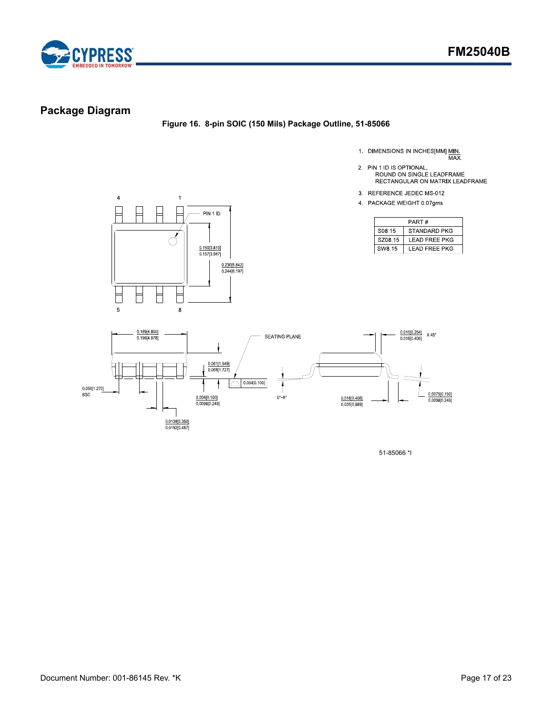

# <span id="page-16-0"></span>**Package Diagram**

**Figure 16. 8-pin SOIC (150 Mils) Package Outline, 51-85066**

- 1. DIMENSIONS IN INCHES[MM] MIN.<br>MAX.
- 2. PIN 1 ID IS OPTIONAL,
	- ROUND ON SINGLE LEADFRAME RECTANGULAR ON MATRIX LEADFRAME
- 3. REFERENCE JEDEC MS-012
- 4 PACKAGE WEIGHT 0 07gms

| PART#              |                      |  |
|--------------------|----------------------|--|
| S <sub>08</sub> 15 | <b>STANDARD PKG</b>  |  |
| SZ08 15            | LEAD FREE PKG        |  |
| SW8.15             | <b>LEAD FREE PKG</b> |  |





51-85066 \*I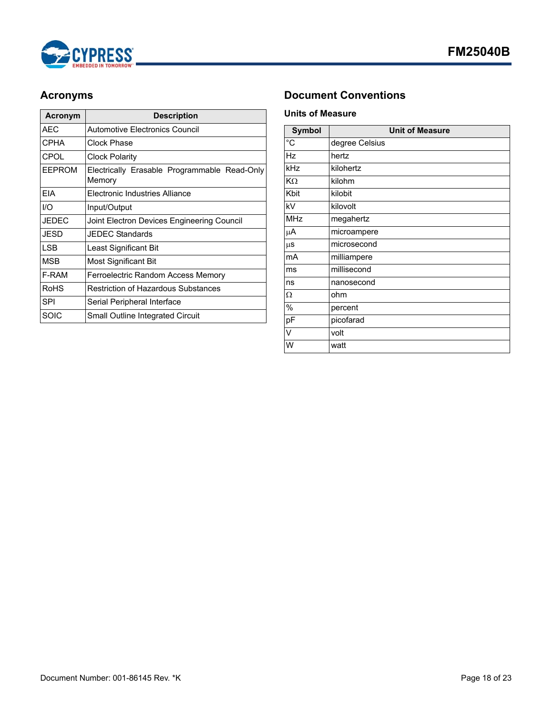

| <b>Acronym</b> | <b>Description</b>                                     |
|----------------|--------------------------------------------------------|
| AEC            | Automotive Electronics Council                         |
| <b>CPHA</b>    | Clock Phase                                            |
| <b>CPOL</b>    | Clock Polarity                                         |
| <b>EEPROM</b>  | Electrically Erasable Programmable Read-Only<br>Memory |
| <b>FIA</b>     | Electronic Industries Alliance                         |
| I/O            | Input/Output                                           |
| <b>JEDEC</b>   | Joint Electron Devices Engineering Council             |
| JESD           | <b>JEDEC Standards</b>                                 |
| I SB           | Least Significant Bit                                  |
| <b>MSB</b>     | Most Significant Bit                                   |
| F-RAM          | Ferroelectric Random Access Memory                     |
| RoHS           | <b>Restriction of Hazardous Substances</b>             |
| SPI            | Serial Peripheral Interface                            |
| SOIC           | Small Outline Integrated Circuit                       |

# <span id="page-17-0"></span>**Acronyms Document Conventions**

### <span id="page-17-2"></span><span id="page-17-1"></span>**Units of Measure**

| <b>Symbol</b>  | <b>Unit of Measure</b> |
|----------------|------------------------|
| $\overline{C}$ | degree Celsius         |
| Hz             | hertz                  |
| kHz            | kilohertz              |
| KΩ             | kilohm                 |
| Kbit           | kilobit                |
| kV             | kilovolt               |
| <b>MHz</b>     | megahertz              |
| μA             | microampere            |
| $\mu$ s        | microsecond            |
| mA             | milliampere            |
| ms             | millisecond            |
| ns             | nanosecond             |
| Ω              | ohm                    |
| %              | percent                |
| pF             | picofarad              |
| V              | volt                   |
| W              | watt                   |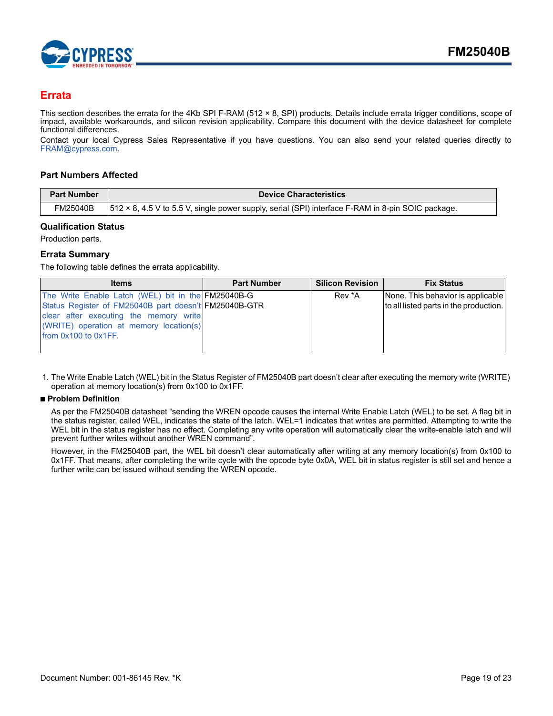

### <span id="page-18-0"></span>**Errata**

This section describes the errata for the 4Kb SPI F-RAM (512 × 8, SPI) products. Details include errata trigger conditions, scope of impact, available workarounds, and silicon revision applicability. Compare this document with the device datasheet for complete functional differences.

Contact your local Cypress Sales Representative if you have questions. You can also send your related queries directly to [FRAM@cypress.com.](fram@cypress.com)

### <span id="page-18-1"></span>**Part Numbers Affected**

| <b>Part Number</b> | <b>Device Characteristics</b>                                                                     |
|--------------------|---------------------------------------------------------------------------------------------------|
| FM25040B           | 512 × 8, 4.5 V to 5.5 V, single power supply, serial (SPI) interface F-RAM in 8-pin SOIC package. |

### <span id="page-18-2"></span>**Qualification Status**

Production parts.

### <span id="page-18-3"></span>**Errata Summary**

The following table defines the errata applicability.

| <b>Items</b>                                          | <b>Part Number</b> | <b>Silicon Revision</b> | <b>Fix Status</b>                      |
|-------------------------------------------------------|--------------------|-------------------------|----------------------------------------|
| The Write Enable Latch (WEL) bit in the FM25040B-G    |                    | Rev *A                  | None. This behavior is applicable      |
| Status Register of FM25040B part doesn't FM25040B-GTR |                    |                         | to all listed parts in the production. |
| clear after executing the memory write                |                    |                         |                                        |
| (WRITE) operation at memory location(s)               |                    |                         |                                        |
| from 0x100 to 0x1FF.                                  |                    |                         |                                        |
|                                                       |                    |                         |                                        |

<span id="page-18-4"></span>1. The Write Enable Latch (WEL) bit in the Status Register of FM25040B part doesn't clear after executing the memory write (WRITE) operation at memory location(s) from 0x100 to 0x1FF.

### ■ **Problem Definition**

As per the FM25040B datasheet "sending the WREN opcode causes the internal Write Enable Latch (WEL) to be set. A flag bit in the status register, called WEL, indicates the state of the latch. WEL=1 indicates that writes are permitted. Attempting to write the WEL bit in the status register has no effect. Completing any write operation will automatically clear the write-enable latch and will prevent further writes without another WREN command".

However, in the FM25040B part, the WEL bit doesn't clear automatically after writing at any memory location(s) from 0x100 to 0x1FF. That means, after completing the write cycle with the opcode byte 0x0A, WEL bit in status register is still set and hence a further write can be issued without sending the WREN opcode.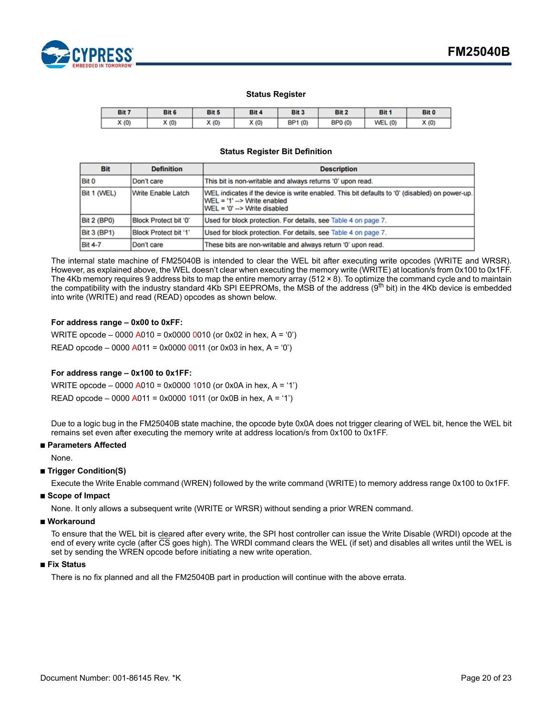

### **Status Register**

| Bit 7 | Bit 6 | Bit 5 | Bit 4 | Bit 3                  | Bit 2                  | Bit 1      | Bit 0 |
|-------|-------|-------|-------|------------------------|------------------------|------------|-------|
| X(0)  | X(0)  | X(0)  | X(0)  | BP <sub>1</sub><br>(0) | BP <sub>0</sub><br>(0) | (0)<br>WEL | X(0)  |

#### **Status Register Bit Definition**

| <b>Bit</b>         | <b>Definition</b>     | <b>Description</b>                                                                                                                                               |
|--------------------|-----------------------|------------------------------------------------------------------------------------------------------------------------------------------------------------------|
| <b>Bit 0</b>       | Don't care            | This bit is non-writable and always returns '0' upon read.                                                                                                       |
| Bit 1 (WEL)        | Write Enable Latch    | [WEL indicates if the device is write enabled. This bit defaults to '0' (disabled) on power-up.<br>IWEL = '1' --> Write enabled<br>IWEL = '0' --> Write disabled |
| <b>Bit 2 (BP0)</b> | Block Protect bit '0" | Used for block protection. For details, see Table 4 on page 7.                                                                                                   |
| <b>Bit 3 (BP1)</b> | Block Protect bit '1' | Used for block protection. For details, see Table 4 on page 7.                                                                                                   |
| <b>Bit 4-7</b>     | Don't care            | These bits are non-writable and always return '0' upon read.                                                                                                     |

The internal state machine of FM25040B is intended to clear the WEL bit after executing write opcodes (WRITE and WRSR). However, as explained above, the WEL doesn't clear when executing the memory write (WRITE) at location/s from 0x100 to 0x1FF. The 4Kb memory requires 9 address bits to map the entire memory array (512 × 8). To optimize the command cycle and to maintain the compatibility with the industry standard 4Kb SPI EEPROMs, the MSB of the address  $(9<sup>th</sup>$  bit) in the 4Kb device is embedded into write (WRITE) and read (READ) opcodes as shown below.

### **For address range – 0x00 to 0xFF:**

WRITE opcode – 0000 A010 = 0x0000 0010 (or 0x02 in hex, A = '0') READ opcode – 0000 A011 = 0x0000 0011 (or 0x03 in hex, A = '0')

### **For address range – 0x100 to 0x1FF:**

WRITE opcode – 0000 A010 = 0x0000 1010 (or 0x0A in hex, A = '1') READ opcode – 0000 A011 = 0x0000 1011 (or 0x0B in hex, A = '1')

Due to a logic bug in the FM25040B state machine, the opcode byte 0x0A does not trigger clearing of WEL bit, hence the WEL bit remains set even after executing the memory write at address location/s from 0x100 to 0x1FF.

### ■ **Parameters Affected**

None.

### ■ **Trigger Condition(S)**

Execute the Write Enable command (WREN) followed by the write command (WRITE) to memory address range 0x100 to 0x1FF.

### ■ **Scope of Impact**

None. It only allows a subsequent write (WRITE or WRSR) without sending a prior WREN command.

#### ■ Workaround

To ensure that the WEL bit is cleared after every write, the SPI host controller can issue the Write Disable (WRDI) opcode at the end of every write cycle (after CS goes high). The WRDI command clears the WEL (if set) and disables all writes until the WEL is set by sending the WREN opcode before initiating a new write operation.

### ■ **Fix Status**

There is no fix planned and all the FM25040B part in production will continue with the above errata.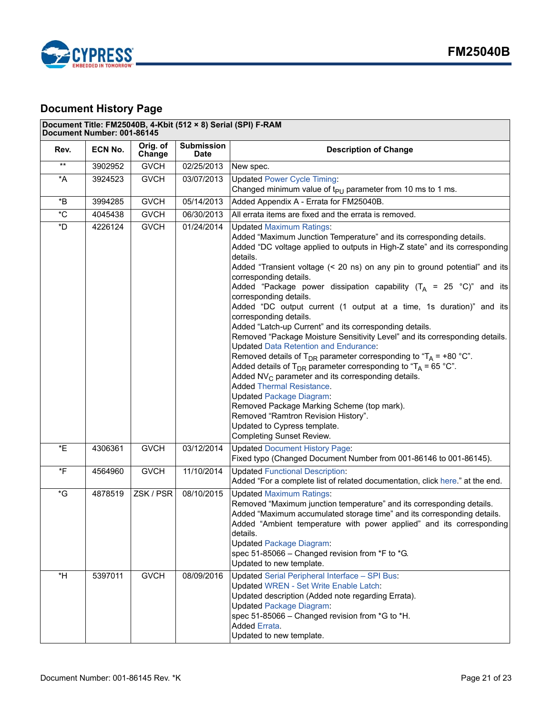

# <span id="page-20-0"></span>**Document History Page**

# **Document Title: FM25040B, 4-Kbit (512 × 8) Serial (SPI) F-RAM**

| Document Number: 001-86145 |         |                    |                                  |                                                                                                                                                                                                                                                                                                                                                                                                                                                                                                                                                                                                                                                                                                                                                                                                                                                                                                                                                                                                                                                                                                                                                                                       |  |
|----------------------------|---------|--------------------|----------------------------------|---------------------------------------------------------------------------------------------------------------------------------------------------------------------------------------------------------------------------------------------------------------------------------------------------------------------------------------------------------------------------------------------------------------------------------------------------------------------------------------------------------------------------------------------------------------------------------------------------------------------------------------------------------------------------------------------------------------------------------------------------------------------------------------------------------------------------------------------------------------------------------------------------------------------------------------------------------------------------------------------------------------------------------------------------------------------------------------------------------------------------------------------------------------------------------------|--|
| Rev.                       | ECN No. | Orig. of<br>Change | <b>Submission</b><br><b>Date</b> | <b>Description of Change</b>                                                                                                                                                                                                                                                                                                                                                                                                                                                                                                                                                                                                                                                                                                                                                                                                                                                                                                                                                                                                                                                                                                                                                          |  |
| $\star\star$               | 3902952 | <b>GVCH</b>        | 02/25/2013                       | New spec.                                                                                                                                                                                                                                                                                                                                                                                                                                                                                                                                                                                                                                                                                                                                                                                                                                                                                                                                                                                                                                                                                                                                                                             |  |
| $^{\star}$ A               | 3924523 | <b>GVCH</b>        | 03/07/2013                       | <b>Updated Power Cycle Timing:</b><br>Changed minimum value of $t_{PU}$ parameter from 10 ms to 1 ms.                                                                                                                                                                                                                                                                                                                                                                                                                                                                                                                                                                                                                                                                                                                                                                                                                                                                                                                                                                                                                                                                                 |  |
| *B                         | 3994285 | <b>GVCH</b>        | 05/14/2013                       | Added Appendix A - Errata for FM25040B.                                                                                                                                                                                                                                                                                                                                                                                                                                                                                                                                                                                                                                                                                                                                                                                                                                                                                                                                                                                                                                                                                                                                               |  |
| $^\ast\mathrm{C}$          | 4045438 | <b>GVCH</b>        | 06/30/2013                       | All errata items are fixed and the errata is removed.                                                                                                                                                                                                                                                                                                                                                                                                                                                                                                                                                                                                                                                                                                                                                                                                                                                                                                                                                                                                                                                                                                                                 |  |
| $^\star \textsf{D}$        | 4226124 | <b>GVCH</b>        | 01/24/2014                       | <b>Updated Maximum Ratings:</b><br>Added "Maximum Junction Temperature" and its corresponding details.<br>Added "DC voltage applied to outputs in High-Z state" and its corresponding<br>details.<br>Added "Transient voltage (< 20 ns) on any pin to ground potential" and its<br>corresponding details.<br>Added "Package power dissipation capability ( $T_A$ = 25 °C)" and its<br>corresponding details.<br>Added "DC output current (1 output at a time, 1s duration)" and its<br>corresponding details.<br>Added "Latch-up Current" and its corresponding details.<br>Removed "Package Moisture Sensitivity Level" and its corresponding details.<br><b>Updated Data Retention and Endurance:</b><br>Removed details of T <sub>DR</sub> parameter corresponding to "T <sub>A</sub> = +80 °C".<br>Added details of T <sub>DR</sub> parameter corresponding to "T <sub>A</sub> = 65 °C".<br>Added $NV_C$ parameter and its corresponding details.<br><b>Added Thermal Resistance.</b><br><b>Updated Package Diagram:</b><br>Removed Package Marking Scheme (top mark).<br>Removed "Ramtron Revision History".<br>Updated to Cypress template.<br><b>Completing Sunset Review.</b> |  |
| *E                         | 4306361 | <b>GVCH</b>        | 03/12/2014                       | <b>Updated Document History Page:</b><br>Fixed typo (Changed Document Number from 001-86146 to 001-86145).                                                                                                                                                                                                                                                                                                                                                                                                                                                                                                                                                                                                                                                                                                                                                                                                                                                                                                                                                                                                                                                                            |  |
| $\overline{F}$             | 4564960 | <b>GVCH</b>        | 11/10/2014                       | <b>Updated Functional Description:</b><br>Added "For a complete list of related documentation, click here." at the end.                                                                                                                                                                                                                                                                                                                                                                                                                                                                                                                                                                                                                                                                                                                                                                                                                                                                                                                                                                                                                                                               |  |
| *G                         | 4878519 | ZSK / PSR          | 08/10/2015                       | <b>Updated Maximum Ratings:</b><br>Removed "Maximum junction temperature" and its corresponding details.<br>Added "Maximum accumulated storage time" and its corresponding details.<br>Added "Ambient temperature with power applied" and its corresponding<br>details.<br><b>Updated Package Diagram:</b><br>spec 51-85066 - Changed revision from *F to *G.<br>Updated to new template.                                                                                                                                                                                                                                                                                                                                                                                                                                                                                                                                                                                                                                                                                                                                                                                             |  |
| $*H$                       | 5397011 | <b>GVCH</b>        | 08/09/2016                       | <b>Updated Serial Peripheral Interface - SPI Bus:</b><br><b>Updated WREN - Set Write Enable Latch:</b><br>Updated description (Added note regarding Errata).<br><b>Updated Package Diagram:</b><br>spec 51-85066 - Changed revision from *G to *H.<br>Added Errata.<br>Updated to new template.                                                                                                                                                                                                                                                                                                                                                                                                                                                                                                                                                                                                                                                                                                                                                                                                                                                                                       |  |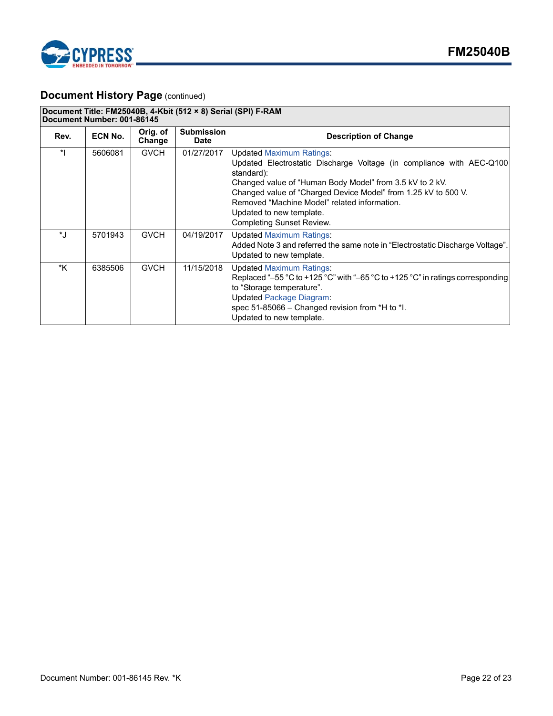

# **Document History Page (continued)**

| Document Title: FM25040B, 4-Kbit (512 × 8) Serial (SPI) F-RAM<br>Document Number: 001-86145 |         |                    |                                  |                                                                                                                                                                                                                                                                                                                                                                      |  |
|---------------------------------------------------------------------------------------------|---------|--------------------|----------------------------------|----------------------------------------------------------------------------------------------------------------------------------------------------------------------------------------------------------------------------------------------------------------------------------------------------------------------------------------------------------------------|--|
| Rev.                                                                                        | ECN No. | Orig. of<br>Change | <b>Submission</b><br><b>Date</b> | <b>Description of Change</b>                                                                                                                                                                                                                                                                                                                                         |  |
| $\ast$                                                                                      | 5606081 | <b>GVCH</b>        | 01/27/2017                       | <b>Updated Maximum Ratings:</b><br>Updated Electrostatic Discharge Voltage (in compliance with AEC-Q100)<br>standard):<br>Changed value of "Human Body Model" from 3.5 kV to 2 kV.<br>Changed value of "Charged Device Model" from 1.25 kV to 500 V.<br>Removed "Machine Model" related information.<br>Updated to new template.<br><b>Completing Sunset Review.</b> |  |
| $\star$ .                                                                                   | 5701943 | <b>GVCH</b>        | 04/19/2017                       | <b>Updated Maximum Ratings:</b><br>Added Note 3 and referred the same note in "Electrostatic Discharge Voltage".<br>Updated to new template.                                                                                                                                                                                                                         |  |
| *K                                                                                          | 6385506 | <b>GVCH</b>        | 11/15/2018                       | <b>Updated Maximum Ratings:</b><br>Replaced "-55 °C to +125 °C" with "-65 °C to +125 °C" in ratings corresponding<br>to "Storage temperature".<br><b>Updated Package Diagram:</b><br>spec 51-85066 - Changed revision from *H to *I.<br>Updated to new template.                                                                                                     |  |